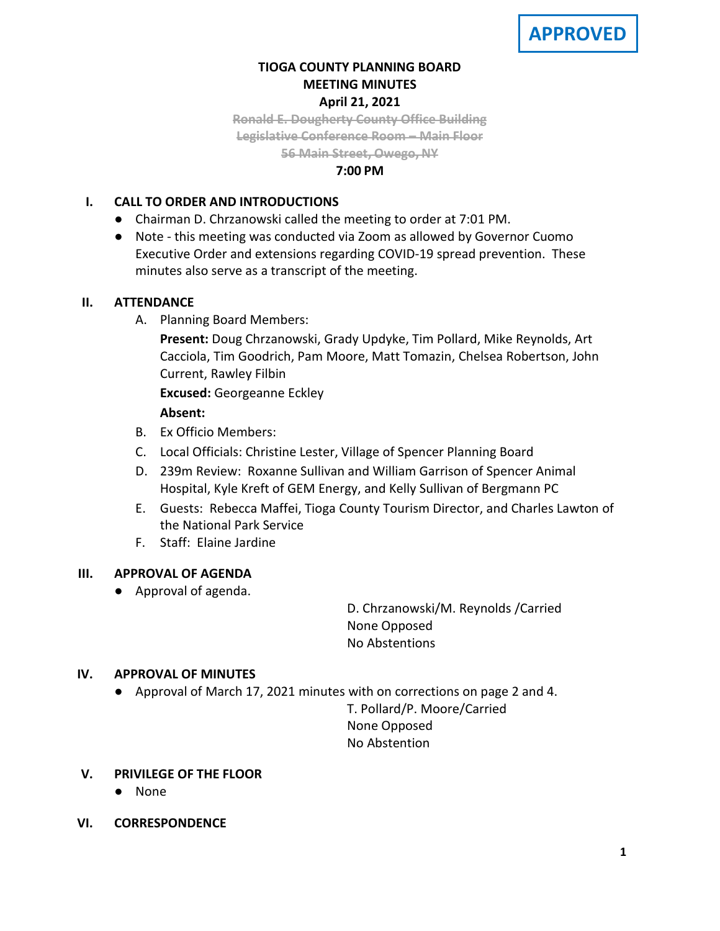## **TIOGA COUNTY PLANNING BOARD MEETING MINUTES April 21, 2021**

**Ronald E. Dougherty County Office Building Legislative Conference Room – Main Floor 56 Main Street, Owego, NY**

### **7:00 PM**

## **I. CALL TO ORDER AND INTRODUCTIONS**

- Chairman D. Chrzanowski called the meeting to order at 7:01 PM.
- Note this meeting was conducted via Zoom as allowed by Governor Cuomo Executive Order and extensions regarding COVID-19 spread prevention. These minutes also serve as a transcript of the meeting.

## **II. ATTENDANCE**

A. Planning Board Members:

**Present:** Doug Chrzanowski, Grady Updyke, Tim Pollard, Mike Reynolds, Art Cacciola, Tim Goodrich, Pam Moore, Matt Tomazin, Chelsea Robertson, John Current, Rawley Filbin

**Excused:** Georgeanne Eckley

### **Absent:**

- B. Ex Officio Members:
- C. Local Officials: Christine Lester, Village of Spencer Planning Board
- D. 239m Review: Roxanne Sullivan and William Garrison of Spencer Animal Hospital, Kyle Kreft of GEM Energy, and Kelly Sullivan of Bergmann PC
- E. Guests: Rebecca Maffei, Tioga County Tourism Director, and Charles Lawton of the National Park Service
- F. Staff: Elaine Jardine

## **III. APPROVAL OF AGENDA**

● Approval of agenda.

D. Chrzanowski/M. Reynolds /Carried None Opposed No Abstentions

## **IV. APPROVAL OF MINUTES**

● Approval of March 17, 2021 minutes with on corrections on page 2 and 4.

T. Pollard/P. Moore/Carried None Opposed No Abstention

- **V. PRIVILEGE OF THE FLOOR**
	- None
- **VI. CORRESPONDENCE**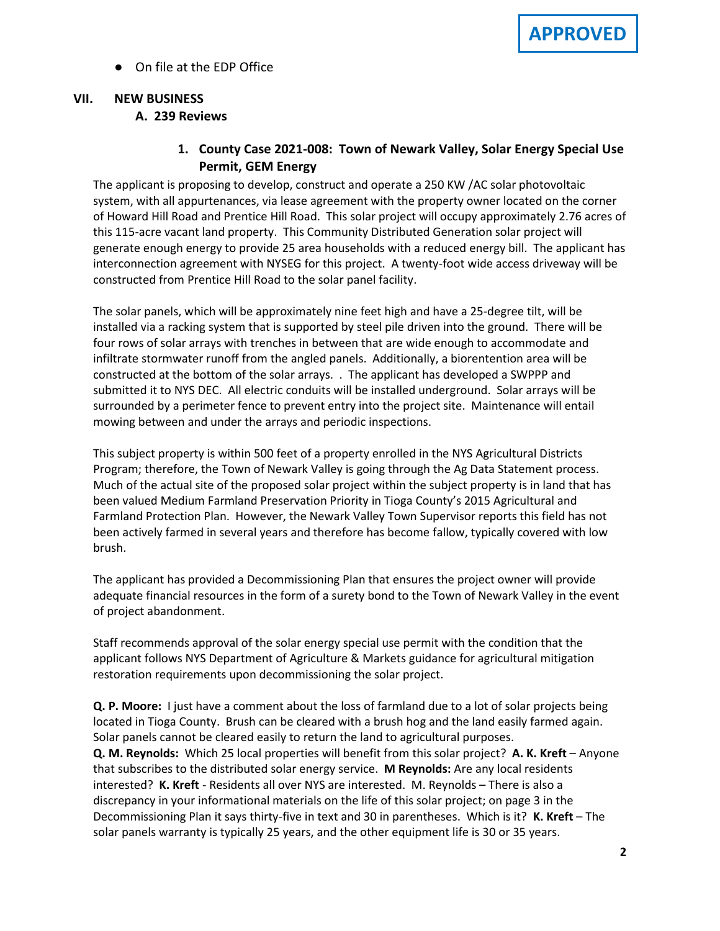● On file at the EDP Office

## **VII. NEW BUSINESS A. A. 239 Reviews**

**1. County Case 2021-008: Town of Newark Valley, Solar Energy Special Use Permit, GEM Energy**

The applicant is proposing to develop, construct and operate a 250 KW /AC solar photovoltaic system, with all appurtenances, via lease agreement with the property owner located on the corner of Howard Hill Road and Prentice Hill Road. This solar project will occupy approximately 2.76 acres of this 115-acre vacant land property. This Community Distributed Generation solar project will generate enough energy to provide 25 area households with a reduced energy bill. The applicant has interconnection agreement with NYSEG for this project. A twenty-foot wide access driveway will be constructed from Prentice Hill Road to the solar panel facility.

The solar panels, which will be approximately nine feet high and have a 25-degree tilt, will be installed via a racking system that is supported by steel pile driven into the ground. There will be four rows of solar arrays with trenches in between that are wide enough to accommodate and infiltrate stormwater runoff from the angled panels. Additionally, a biorentention area will be constructed at the bottom of the solar arrays. . The applicant has developed a SWPPP and submitted it to NYS DEC. All electric conduits will be installed underground. Solar arrays will be surrounded by a perimeter fence to prevent entry into the project site. Maintenance will entail mowing between and under the arrays and periodic inspections.

This subject property is within 500 feet of a property enrolled in the NYS Agricultural Districts Program; therefore, the Town of Newark Valley is going through the Ag Data Statement process. Much of the actual site of the proposed solar project within the subject property is in land that has been valued Medium Farmland Preservation Priority in Tioga County's 2015 Agricultural and Farmland Protection Plan. However, the Newark Valley Town Supervisor reports this field has not been actively farmed in several years and therefore has become fallow, typically covered with low brush.

The applicant has provided a Decommissioning Plan that ensures the project owner will provide adequate financial resources in the form of a surety bond to the Town of Newark Valley in the event of project abandonment.

Staff recommends approval of the solar energy special use permit with the condition that the applicant follows NYS Department of Agriculture & Markets guidance for agricultural mitigation restoration requirements upon decommissioning the solar project.

**Q. P. Moore:** I just have a comment about the loss of farmland due to a lot of solar projects being located in Tioga County. Brush can be cleared with a brush hog and the land easily farmed again. Solar panels cannot be cleared easily to return the land to agricultural purposes. **Q. M. Reynolds:** Which 25 local properties will benefit from this solar project? **A. K. Kreft** – Anyone that subscribes to the distributed solar energy service. **M Reynolds:** Are any local residents interested? **K. Kreft** - Residents all over NYS are interested. M. Reynolds – There is also a discrepancy in your informational materials on the life of this solar project; on page 3 in the Decommissioning Plan it says thirty-five in text and 30 in parentheses. Which is it? **K. Kreft** – The solar panels warranty is typically 25 years, and the other equipment life is 30 or 35 years.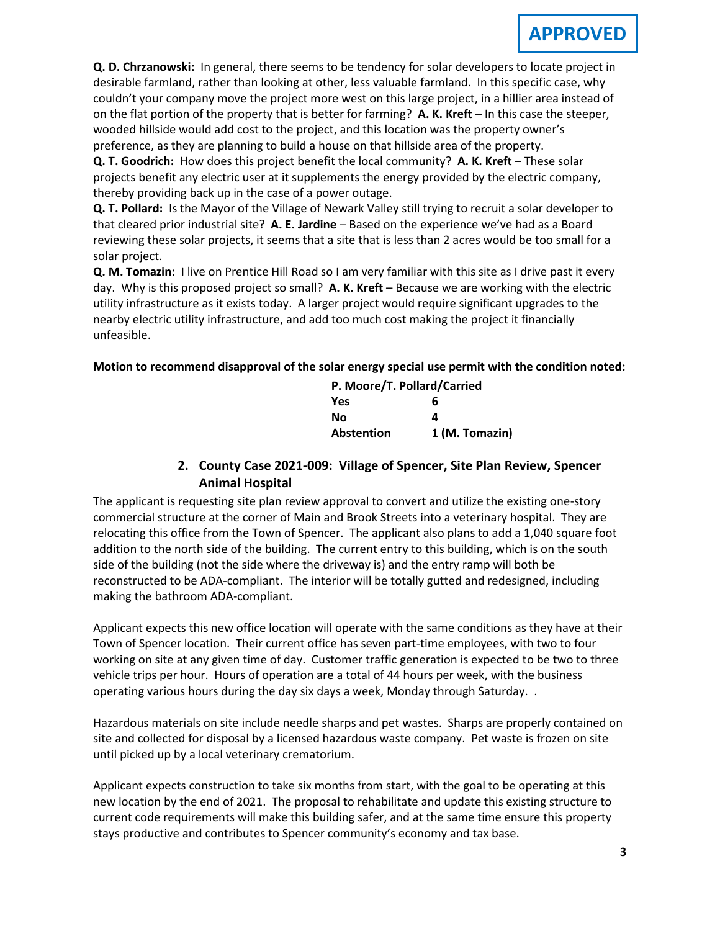**Q. D. Chrzanowski:** In general, there seems to be tendency for solar developers to locate project in desirable farmland, rather than looking at other, less valuable farmland. In this specific case, why couldn't your company move the project more west on this large project, in a hillier area instead of on the flat portion of the property that is better for farming? **A. K. Kreft** – In this case the steeper, wooded hillside would add cost to the project, and this location was the property owner's preference, as they are planning to build a house on that hillside area of the property.

**Q. T. Goodrich:** How does this project benefit the local community? **A. K. Kreft** – These solar projects benefit any electric user at it supplements the energy provided by the electric company, thereby providing back up in the case of a power outage.

**Q. T. Pollard:** Is the Mayor of the Village of Newark Valley still trying to recruit a solar developer to that cleared prior industrial site? **A. E. Jardine** – Based on the experience we've had as a Board reviewing these solar projects, it seems that a site that is less than 2 acres would be too small for a solar project.

**Q. M. Tomazin:** I live on Prentice Hill Road so I am very familiar with this site as I drive past it every day. Why is this proposed project so small? **A. K. Kreft** – Because we are working with the electric utility infrastructure as it exists today. A larger project would require significant upgrades to the nearby electric utility infrastructure, and add too much cost making the project it financially unfeasible.

### **Motion to recommend disapproval of the solar energy special use permit with the condition noted:**

| P. Moore/T. Pollard/Carried |                |
|-----------------------------|----------------|
| <b>Yes</b>                  | 6              |
| Nο                          | 4              |
| Abstention                  | 1 (M. Tomazin) |

# **2. County Case 2021-009: Village of Spencer, Site Plan Review, Spencer Animal Hospital**

The applicant is requesting site plan review approval to convert and utilize the existing one-story commercial structure at the corner of Main and Brook Streets into a veterinary hospital. They are relocating this office from the Town of Spencer. The applicant also plans to add a 1,040 square foot addition to the north side of the building. The current entry to this building, which is on the south side of the building (not the side where the driveway is) and the entry ramp will both be reconstructed to be ADA-compliant. The interior will be totally gutted and redesigned, including making the bathroom ADA-compliant.

Applicant expects this new office location will operate with the same conditions as they have at their Town of Spencer location. Their current office has seven part-time employees, with two to four working on site at any given time of day. Customer traffic generation is expected to be two to three vehicle trips per hour. Hours of operation are a total of 44 hours per week, with the business operating various hours during the day six days a week, Monday through Saturday. .

Hazardous materials on site include needle sharps and pet wastes. Sharps are properly contained on site and collected for disposal by a licensed hazardous waste company. Pet waste is frozen on site until picked up by a local veterinary crematorium.

Applicant expects construction to take six months from start, with the goal to be operating at this new location by the end of 2021. The proposal to rehabilitate and update this existing structure to current code requirements will make this building safer, and at the same time ensure this property stays productive and contributes to Spencer community's economy and tax base.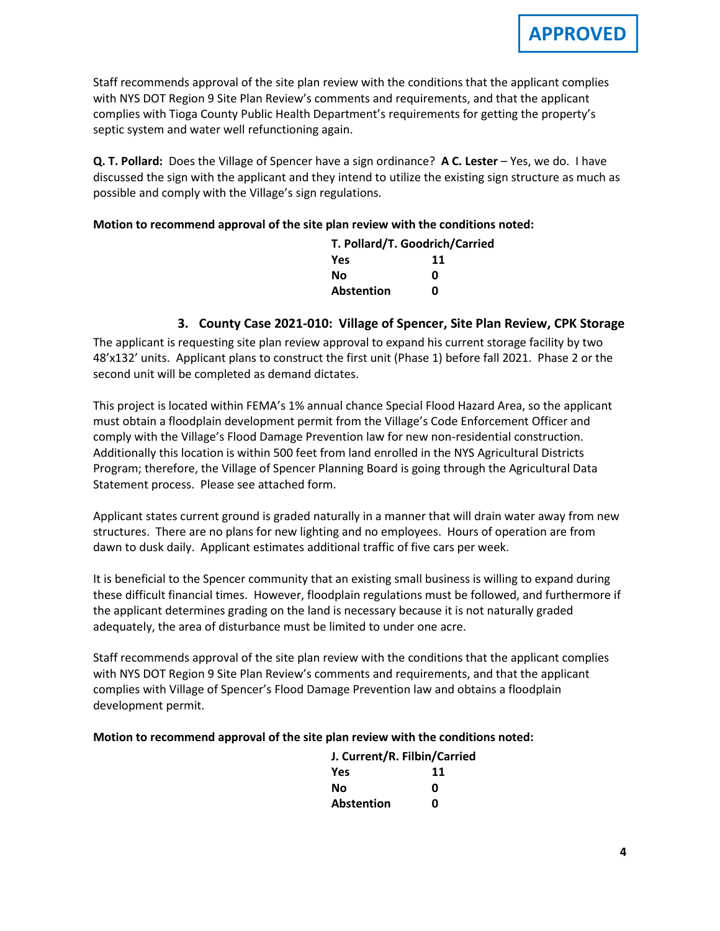Staff recommends approval of the site plan review with the conditions that the applicant complies with NYS DOT Region 9 Site Plan Review's comments and requirements, and that the applicant complies with Tioga County Public Health Department's requirements for getting the property's septic system and water well refunctioning again.

**Q. T. Pollard:** Does the Village of Spencer have a sign ordinance? **A C. Lester** – Yes, we do. I have discussed the sign with the applicant and they intend to utilize the existing sign structure as much as possible and comply with the Village's sign regulations.

#### **Motion to recommend approval of the site plan review with the conditions noted:**

| T. Pollard/T. Goodrich/Carried |    |  |
|--------------------------------|----|--|
| Yes                            | 11 |  |
| Νo                             | ŋ  |  |
| <b>Abstention</b>              | n  |  |

### **3. County Case 2021-010: Village of Spencer, Site Plan Review, CPK Storage**

The applicant is requesting site plan review approval to expand his current storage facility by two 48'x132' units. Applicant plans to construct the first unit (Phase 1) before fall 2021. Phase 2 or the second unit will be completed as demand dictates.

This project is located within FEMA's 1% annual chance Special Flood Hazard Area, so the applicant must obtain a floodplain development permit from the Village's Code Enforcement Officer and comply with the Village's Flood Damage Prevention law for new non-residential construction. Additionally this location is within 500 feet from land enrolled in the NYS Agricultural Districts Program; therefore, the Village of Spencer Planning Board is going through the Agricultural Data Statement process. Please see attached form.

Applicant states current ground is graded naturally in a manner that will drain water away from new structures. There are no plans for new lighting and no employees. Hours of operation are from dawn to dusk daily. Applicant estimates additional traffic of five cars per week.

It is beneficial to the Spencer community that an existing small business is willing to expand during these difficult financial times. However, floodplain regulations must be followed, and furthermore if the applicant determines grading on the land is necessary because it is not naturally graded adequately, the area of disturbance must be limited to under one acre.

Staff recommends approval of the site plan review with the conditions that the applicant complies with NYS DOT Region 9 Site Plan Review's comments and requirements, and that the applicant complies with Village of Spencer's Flood Damage Prevention law and obtains a floodplain development permit.

#### **Motion to recommend approval of the site plan review with the conditions noted:**

| J. Current/R. Filbin/Carried |    |
|------------------------------|----|
| <b>Yes</b>                   | 11 |
| Nο                           | ŋ  |
| <b>Abstention</b>            | n  |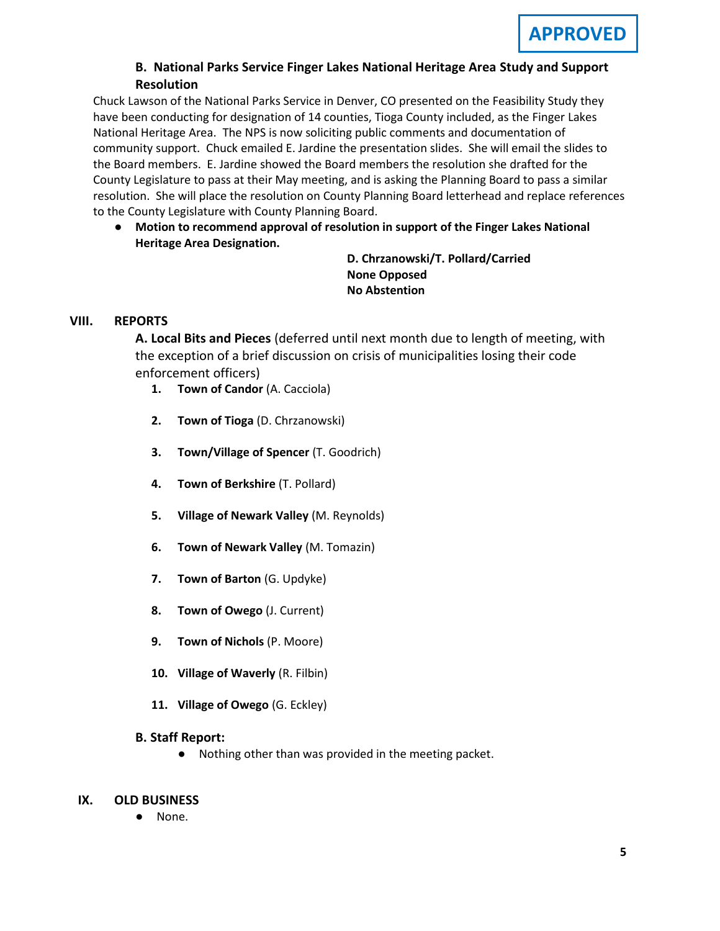## **B. B. National Parks Service Finger Lakes National Heritage Area Study and Support Resolution**

Chuck Lawson of the National Parks Service in Denver, CO presented on the Feasibility Study they have been conducting for designation of 14 counties, Tioga County included, as the Finger Lakes National Heritage Area. The NPS is now soliciting public comments and documentation of community support. Chuck emailed E. Jardine the presentation slides. She will email the slides to the Board members. E. Jardine showed the Board members the resolution she drafted for the County Legislature to pass at their May meeting, and is asking the Planning Board to pass a similar resolution. She will place the resolution on County Planning Board letterhead and replace references to the County Legislature with County Planning Board.

● **Motion to recommend approval of resolution in support of the Finger Lakes National Heritage Area Designation.**

**D. Chrzanowski/T. Pollard/Carried None Opposed No Abstention**

## **VIII. REPORTS**

**A. A. Local Bits and Pieces** (deferred until next month due to length of meeting, with the exception of a brief discussion on crisis of municipalities losing their code enforcement officers)

- **1. Town of Candor** (A. Cacciola)
- **2. Town of Tioga** (D. Chrzanowski)
- **3. Town/Village of Spencer** (T. Goodrich)
- **4. Town of Berkshire** (T. Pollard)
- **5. Village of Newark Valley** (M. Reynolds)
- **6. Town of Newark Valley** (M. Tomazin)
- **7. Town of Barton** (G. Updyke)
- **8. Town of Owego** (J. Current)
- **9. Town of Nichols** (P. Moore)
- **10. Village of Waverly** (R. Filbin)
- **11. Village of Owego** (G. Eckley)

## **B. Staff Report:**

● Nothing other than was provided in the meeting packet.

## **IX. OLD BUSINESS**

None.